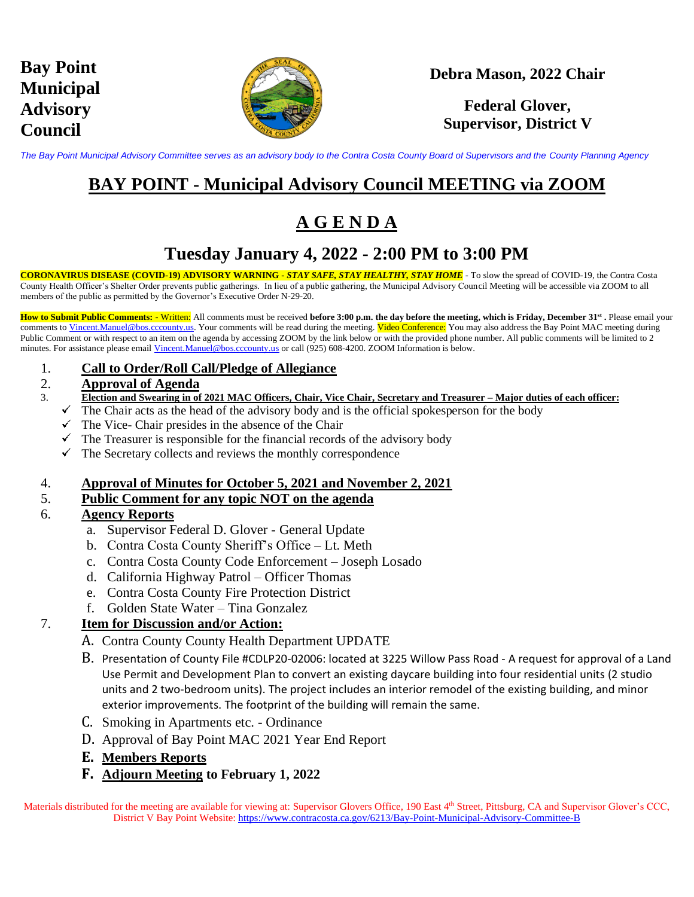

### **Debra Mason, 2022 Chair**

### **Federal Glover, Supervisor, District V**

*The Bay Point Municipal Advisory Committee serves as an advisory body to the Contra Costa County Board of Supervisors and the County Planning Agency*

## **BAY POINT - Municipal Advisory Council MEETING via ZOOM**

## **A G E N D A**

## **Tuesday January 4, 2022 - 2:00 PM to 3:00 PM**

**CORONAVIRUS DISEASE (COVID-19) ADVISORY WARNING -** *STAY SAFE, STAY HEALTHY, STAY HOME* - To slow the spread of COVID-19, the Contra Costa County Health Officer's Shelter Order prevents public gatherings. In lieu of a public gathering, the Municipal Advisory Council Meeting will be accessible via ZOOM to all members of the public as permitted by the Governor's Executive Order N-29-20.

**How to Submit Public Comments: -** Written: All comments must be received **before 3:00 p.m. the day before the meeting, which is Friday, December 31st .** Please email your comments to [Vincent.Manuel@bos.cccounty.us.](mailto:Vincent.Manuel@bos.cccounty.us) Your comments will be read during the meeting. Video Conference: You may also address the Bay Point MAC meeting during Public Comment or with respect to an item on the agenda by accessing ZOOM by the link below or with the provided phone number. All public comments will be limited to 2 minutes. For assistance please email [Vincent.Manuel@bos.cccounty.us](mailto:Vincent.Manuel@bos.cccounty.us) or call (925) 608-4200. ZOOM Information is below.

1. **Call to Order/Roll Call/Pledge of Allegiance**

#### 2. **Approval of Agenda**

- 3. **Election and Swearing in of 2021 MAC Officers, Chair, Vice Chair, Secretary and Treasurer – Major duties of each officer:**
	- $\checkmark$  The Chair acts as the head of the advisory body and is the official spokesperson for the body
	- $\checkmark$  The Vice- Chair presides in the absence of the Chair
	- $\checkmark$  The Treasurer is responsible for the financial records of the advisory body
	- $\checkmark$  The Secretary collects and reviews the monthly correspondence

#### 4. **Approval of Minutes for October 5, 2021 and November 2, 2021**

#### 5. **Public Comment for any topic NOT on the agenda**

#### 6. **Agency Reports**

- a. Supervisor Federal D. Glover General Update
- b. Contra Costa County Sheriff's Office Lt. Meth
- c. Contra Costa County Code Enforcement Joseph Losado
- d. California Highway Patrol Officer Thomas
- e. Contra Costa County Fire Protection District
- f. Golden State Water Tina Gonzalez

#### 7. **Item for Discussion and/or Action:**

- A. Contra County County Health Department UPDATE
- B. Presentation of County File #CDLP20-02006: located at 3225 Willow Pass Road A request for approval of a Land Use Permit and Development Plan to convert an existing daycare building into four residential units (2 studio units and 2 two-bedroom units). The project includes an interior remodel of the existing building, and minor exterior improvements. The footprint of the building will remain the same.
- C. Smoking in Apartments etc. Ordinance
- D. Approval of Bay Point MAC 2021 Year End Report
- **E. Members Reports**
- **F. Adjourn Meeting to February 1, 2022**

Materials distributed for the meeting are available for viewing at: Supervisor Glovers Office, 190 East 4<sup>th</sup> Street, Pittsburg, CA and Supervisor Glover's CCC, District V Bay Point Website: <https://www.contracosta.ca.gov/6213/Bay-Point-Municipal-Advisory-Committee-B>